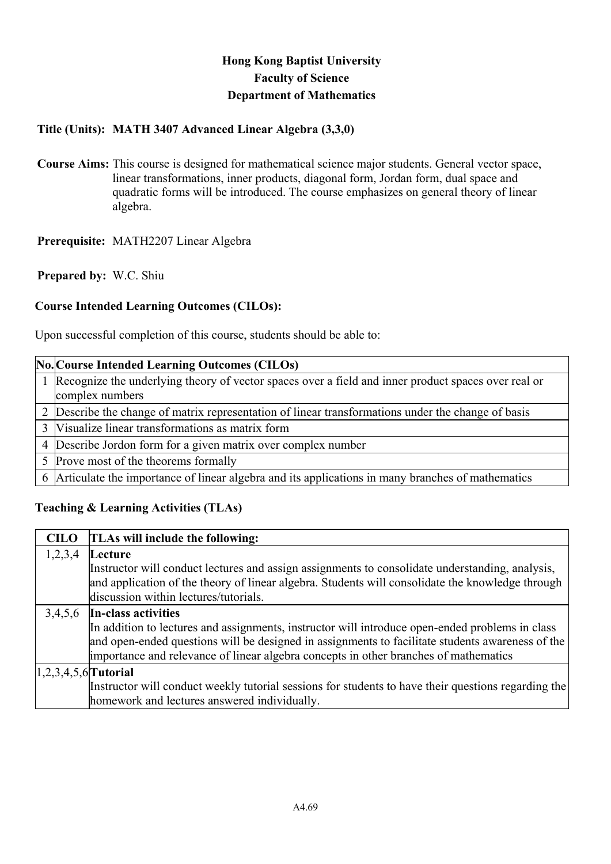# **Hong Kong Baptist University Faculty of Science Department of Mathematics**

## **Title (Units): MATH 3407 Advanced Linear Algebra (3,3,0)**

**Course Aims:** This course is designed for mathematical science major students. General vector space, linear transformations, inner products, diagonal form, Jordan form, dual space and quadratic forms will be introduced. The course emphasizes on general theory of linear algebra.

**Prerequisite:** MATH2207 Linear Algebra

**Prepared by:** W.C. Shiu

## **Course Intended Learning Outcomes (CILOs):**

Upon successful completion of this course, students should be able to:

### **No. Course Intended Learning Outcomes (CILOs)**

- 1 Recognize the underlying theory of vector spaces over a field and inner product spaces over real or complex numbers
- 2 Describe the change of matrix representation of linear transformations under the change of basis
- 3 Visualize linear transformations as matrix form
- 4 Describe Jordon form for a given matrix over complex number
- 5 Prove most of the theorems formally

6 Articulate the importance of linear algebra and its applications in many branches of mathematics

## **Teaching & Learning Activities (TLAs)**

#### **CILO TLAs will include the following:**  1,2,3,4 **Lecture**

Instructor will conduct lectures and assign assignments to consolidate understanding, analysis, and application of the theory of linear algebra. Students will consolidate the knowledge through discussion within lectures/tutorials.

## 3,4,5,6 **In-class activities**

In addition to lectures and assignments, instructor will introduce open-ended problems in class and open-ended questions will be designed in assignments to facilitate students awareness of the importance and relevance of linear algebra concepts in other branches of mathematics

#### 1,2,3,4,5,6 **Tutorial**

Instructor will conduct weekly tutorial sessions for students to have their questions regarding the homework and lectures answered individually.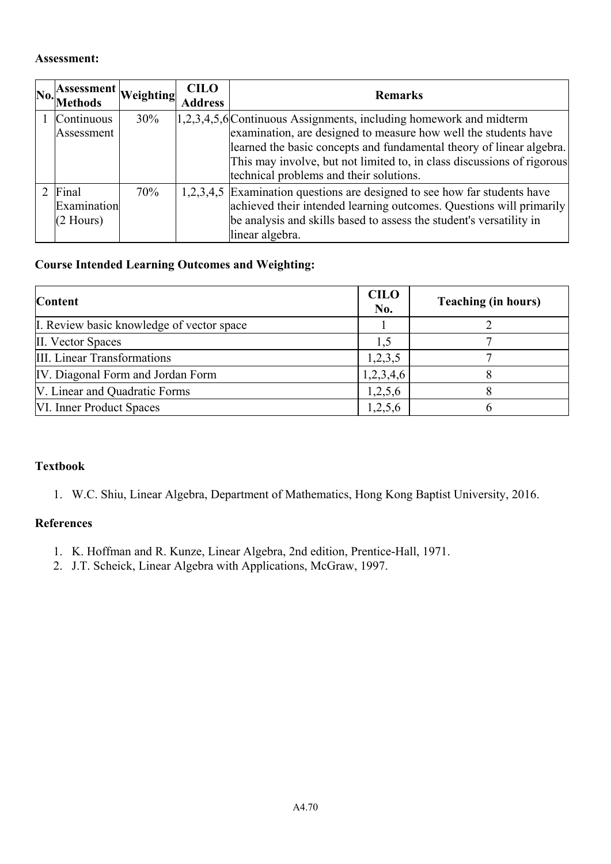#### **Assessment:**

| Assessment Weighting<br>No. Methods |     | <b>CILO</b><br><b>Address</b> | <b>Remarks</b>                                                            |
|-------------------------------------|-----|-------------------------------|---------------------------------------------------------------------------|
| Continuous                          | 30% |                               | $[1,2,3,4,5,6]$ Continuous Assignments, including homework and midterm    |
| Assessment                          |     |                               | examination, are designed to measure how well the students have           |
|                                     |     |                               | learned the basic concepts and fundamental theory of linear algebra.      |
|                                     |     |                               | This may involve, but not limited to, in class discussions of rigorous    |
|                                     |     |                               | technical problems and their solutions.                                   |
| Final                               | 70% |                               | 1,2,3,4,5 Examination questions are designed to see how far students have |
| Examination                         |     |                               | achieved their intended learning outcomes. Questions will primarily       |
| $(2$ Hours)                         |     |                               | be analysis and skills based to assess the student's versatility in       |
|                                     |     |                               | linear algebra.                                                           |

## **Course Intended Learning Outcomes and Weighting:**

| <b>Content</b>                            | <b>CILO</b><br>No. | <b>Teaching (in hours)</b> |
|-------------------------------------------|--------------------|----------------------------|
| I. Review basic knowledge of vector space |                    |                            |
| II. Vector Spaces                         | 1,5                |                            |
| III. Linear Transformations               | 1,2,3,5            |                            |
| IV. Diagonal Form and Jordan Form         | 1,2,3,4,6          |                            |
| V. Linear and Quadratic Forms             | 1,2,5,6            |                            |
| VI. Inner Product Spaces                  | 1,2,5,6            |                            |

#### **Textbook**

1. W.C. Shiu, Linear Algebra, Department of Mathematics, Hong Kong Baptist University, 2016.

#### **References**

- 1. K. Hoffman and R. Kunze, Linear Algebra, 2nd edition, Prentice-Hall, 1971.
- 2. J.T. Scheick, Linear Algebra with Applications, McGraw, 1997.